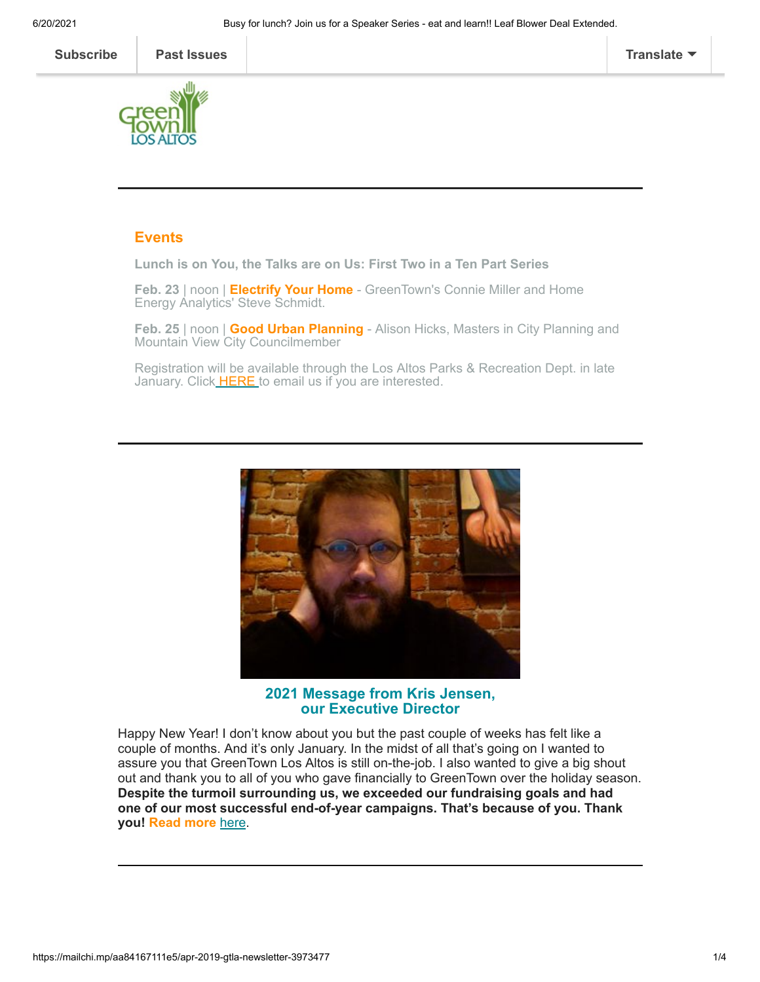

## **Events**

**Lunch is on You, the Talks are on Us: First Two in a Ten Part Series**

**Feb. 23** | noon | **Electrify Your Home** - GreenTown's Connie Miller and Home Energy Analytics' Steve Schmidt.

**Feb. 25** | noon | **Good Urban Planning** - Alison Hicks, Masters in City Planning and Mountain View City Councilmember

Registration will be available through the Los Altos Parks & Recreation Dept. in late January. Click [HERE t](mailto:info@greentownlosaltos.org?subject=GreenTown%20Lunch%20and%20Learn%20Series&body=I%20am%20interested%20in%20attending%20one%20or%20both%20of%20the%20lunch%20lectures%20mentioned%20in%20the%20GreenTown%20newsletter%3A%0A%0AFeb%2023%3A%20Electrify%20Your%20Home%0AFeb%2025%3A%20Good%20Urban%20Planning%0A%0APlease%20let%20me%20know%20how%20I%20can%20sign%20up.%0A%0AThanks!%0A)o email us if you are interested.



**2021 Message from Kris Jensen, our Executive Director**

Happy New Year! I don't know about you but the past couple of weeks has felt like a couple of months. And it's only January. In the midst of all that's going on I wanted to assure you that GreenTown Los Altos is still on-the-job. I also wanted to give a big shout out and thank you to all of you who gave financially to GreenTown over the holiday season. **Despite the turmoil surrounding us, we exceeded our fundraising goals and had one of our most successful end-of-year campaigns. That's because of you. Thank you! Read more** [here](https://www.greentownlosaltos.org/post/a-2021-message-from-our-executive-director-kris-jensen).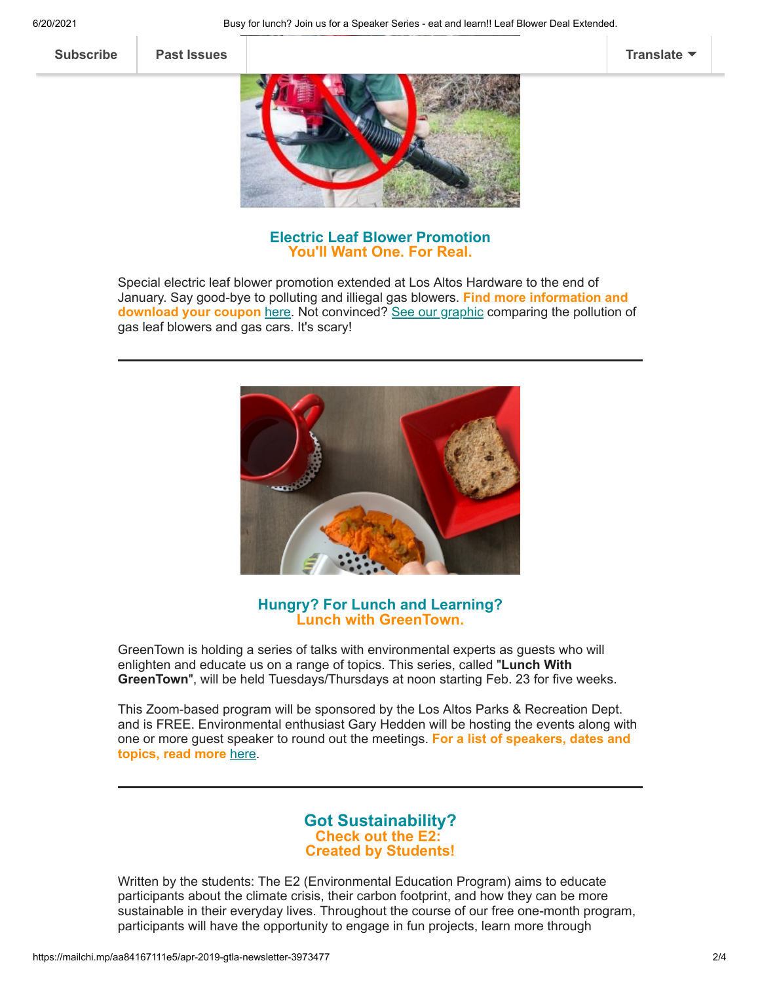**[Subscribe](http://eepurl.com/cm9q9b) [Past Issues](https://us5.campaign-archive.com/home/?u=ed40313cb8798acef49a6faa8&id=bcf3e43825) [Translate](javascript:;)**



**Electric Leaf Blower Promotion You'll Want One. For Real.**

Special electric leaf blower promotion extended at Los Altos Hardware to the end of January. Say good-bye to polluting and illiegal gas blowers. **Find more information and download your coupon** [here](https://www.greentownlosaltos.org/post/buy-any-electric-leaf-blower-receive-25-off-garden-supplies-products-with-your-purchase). Not convinced? [See our graphic](https://mcusercontent.com/ed40313cb8798acef49a6faa8/files/1be0afc4-b171-4dd4-9d50-8c13f1e9df50/GasBlower_vs_Car_2_2.02.pdf) comparing the pollution of gas leaf blowers and gas cars. It's scary!



## **Hungry? For Lunch and Learning? Lunch with GreenTown.**

GreenTown is holding a series of talks with environmental experts as guests who will enlighten and educate us on a range of topics. This series, called "**Lunch With GreenTown**", will be held Tuesdays/Thursdays at noon starting Feb. 23 for five weeks.

This Zoom-based program will be sponsored by the Los Altos Parks & Recreation Dept. and is FREE. Environmental enthusiast Gary Hedden will be hosting the events along with one or more guest speaker to round out the meetings. **For a list of speakers, dates and topics, read more** [here.](https://www.greentownlosaltos.org/post/lunch-with-greentown-a-speaker-series-at-lunch)

# **Got Sustainability? Check out the E2: Created by Students!**

Written by the students: The E2 (Environmental Education Program) aims to educate participants about the climate crisis, their carbon footprint, and how they can be more sustainable in their everyday lives. Throughout the course of our free one-month program, participants will have the opportunity to engage in fun projects, learn more through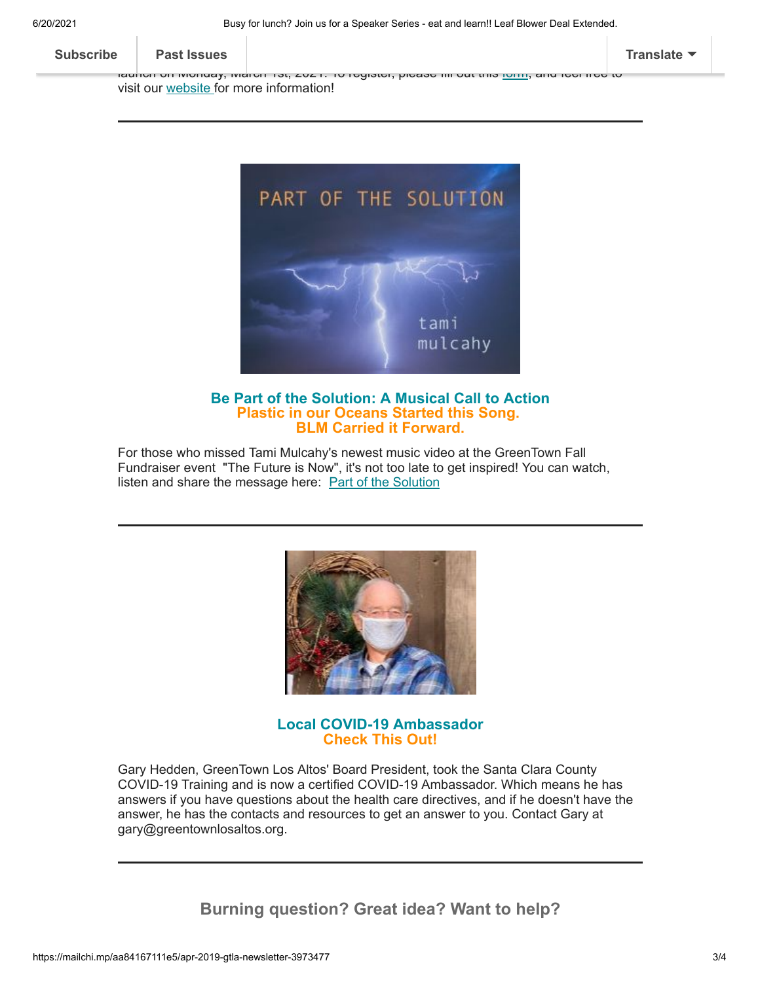6/20/2021 Busy for lunch? Join us for a Speaker Series - eat and learn!! Leaf Blower Deal Extended.

int[eresting articles and](https://us5.campaign-archive.com/home/?u=ed40313cb8798acef49a6faa8&id=bcf3e43825) videos, and reflect on their learning through short quizzes and surveys. Registration opens on Monday, January 25th, 2021, 25th, 2021, and the program is set to program is set to

**[Subscribe](http://eepurl.com/cm9q9b) Past Issues [Translate](javascript:;)**

launch on Monday, March 1st, 2021. To register, please fill out this <u>[form,](https://docs.google.com/forms/d/e/1FAIpQLSdwl6ZEVPCXlDChMVlyKpqNYP4HZ6brl9Qkf5QWPXMxjoCeyA/viewform)</u> and feel free to visit our [website](https://100027438.wixsite.com/e2environmental) for more information!



## **Be Part of the Solution: A Musical Call to Action Plastic in our Oceans Started this Song. BLM Carried it Forward.**

For those who missed Tami Mulcahy's newest music video at the GreenTown Fall Fundraiser event "The Future is Now", it's not too late to get inspired! You can watch, listen and share the message here: **[Part of the Solution](https://www.youtube.com/watch?v=1KUcUtDD4Jk&feature=youtu.be)** 



#### **Local COVID-19 Ambassador Check This Out!**

Gary Hedden, GreenTown Los Altos' Board President, took the Santa Clara County COVID-19 Training and is now a certified COVID-19 Ambassador. Which means he has answers if you have questions about the health care directives, and if he doesn't have the answer, he has the contacts and resources to get an answer to you. Contact Gary at gary@greentownlosaltos.org.

**Burning question? Great idea? Want to help?**